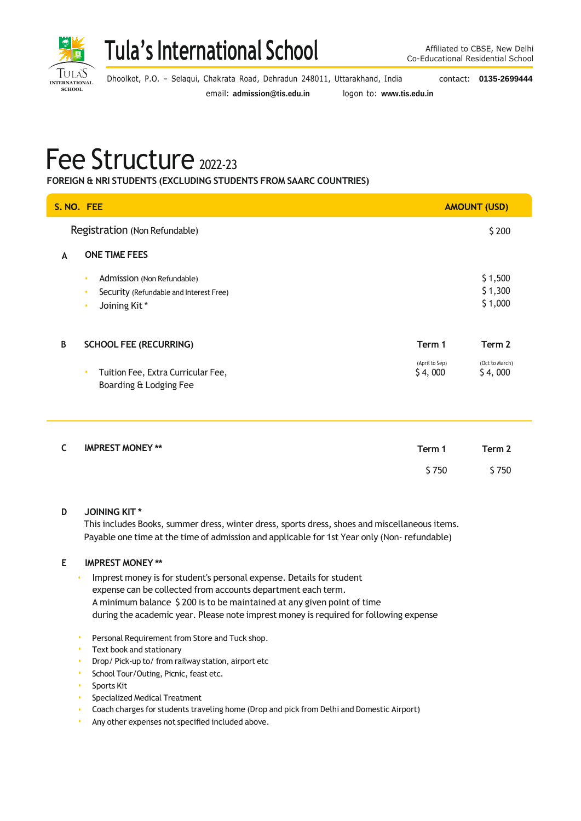

### **Tula's International School**

Dhoolkot, P.O. – Selaqui, Chakrata Road, Dehradun 248011, Uttarakhand, India contact: **0135-2699444** email: **[admission@tis.edu.in](mailto:admission@tis.edu.in)** logon to: **[www.tis.edu.in](http://www.tis.edu.in/)**

### Fee Structure 2022-23

**FOREIGN & NRI STUDENTS (EXCLUDING STUDENTS FROM SAARC COUNTRIES)**

| S. NO. FEE |                                                                                                                 | <b>AMOUNT (USD)</b>       |                               |
|------------|-----------------------------------------------------------------------------------------------------------------|---------------------------|-------------------------------|
|            | Registration (Non Refundable)                                                                                   |                           | \$200                         |
| A          | <b>ONE TIME FEES</b>                                                                                            |                           |                               |
|            | Admission (Non Refundable)<br>$\bullet$<br>Security (Refundable and Interest Free)<br>Joining Kit*<br>$\bullet$ |                           | \$1,500<br>\$1,300<br>\$1,000 |
| B          | <b>SCHOOL FEE (RECURRING)</b>                                                                                   | Term 1                    | Term <sub>2</sub>             |
|            | Tuition Fee, Extra Curricular Fee,<br>٠<br>Boarding & Lodging Fee                                               | (April to Sep)<br>\$4,000 | (Oct to March)<br>\$4,000     |

| C . | <b>IMPREST MONEY **</b> | Term 1 | Term <sub>2</sub> |
|-----|-------------------------|--------|-------------------|
|     |                         | \$750  | \$750             |

#### **D JOINING KIT \***

This includes Books, summer dress, winter dress, sports dress, shoes and miscellaneous items. Payable one time at the time of admission and applicable for 1st Year only (Non- refundable)

#### **E IMPREST MONEY \*\***

- Imprest money is for student's personal expense. Details for student expense can be collected from accounts department each term. A minimum balance \$ 200 is to be maintained at any given point of time during the academic year. Please note imprest money is required for following expense
- Personal Requirement from Store and Tuck shop.
- Text book and stationary
- Drop/ Pick-up to/ from railway station, airport etc
- School Tour/Outing, Picnic, feast etc.
- Sports Kit
- Specialized Medical Treatment
- Coach charges for students traveling home (Drop and pick from Delhi and Domestic Airport)
- Any other expenses not specified included above.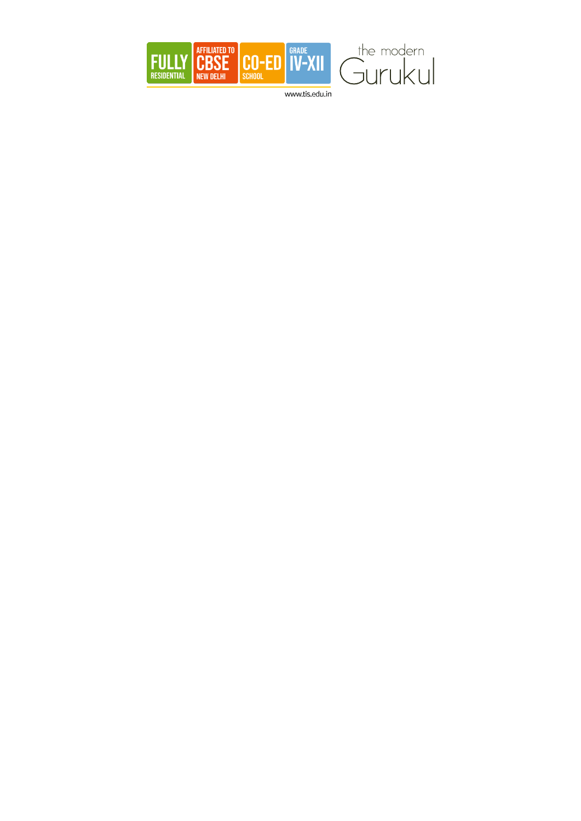

www.tis.edu.in